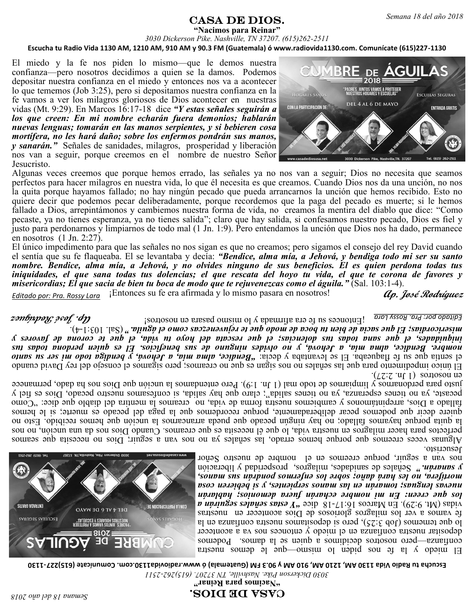## $\textbf{CASA} \textbf{ DE DIOS.}$  Semana 18 del año 2018

**"Nacimos para Reinar"**

*3030 Dickerson Pike. Nashville, TN 37207. (615)262-2511* **Escucha tu Radio Vida 1130 AM, 1210 AM, 910 AM y 90.3 FM (Guatemala) ó www.radiovida1130.com. Comunícate (615)227-1130**

El miedo y la fe nos piden lo mismo—que le demos nuestra confianza—pero nosotros decidimos a quien se la damos. Podemos depositar nuestra confianza en el miedo y entonces nos va a acontecer lo que tememos (Job 3:25), pero si depositamos nuestra confianza en la fe vamos a ver los milagros gloriosos de Dios acontecer en nuestras vidas (Mt. 9:29). En Marcos 16:17-18 dice *"Y estas señales seguirán a los que creen: En mi nombre echarán fuera demonios; hablarán nuevas lenguas; tomarán en las manos serpientes, y si bebieren cosa mortífera, no les hará daño; sobre los enfermos pondrán sus manos, y sanarán."* Señales de sanidades, milagros, prosperidad y liberación nos van a seguir, porque creemos en el nombre de nuestro Señor Jesucristo.



Algunas veces creemos que porque hemos errado, las señales ya no nos van a seguir; Dios no necesita que seamos perfectos para hacer milagros en nuestra vida, lo que él necesita es que creamos. Cuando Dios nos da una unción, no nos la quita porque hayamos fallado; no hay ningún pecado que pueda arrancarnos la unción que hemos recibido. Esto no quiere decir que podemos pecar deliberadamente, porque recordemos que la paga del pecado es muerte; si le hemos fallado a Dios, arrepintámonos y cambiemos nuestra forma de vida, no creamos la mentira del diablo que dice: "Como pecaste, ya no tienes esperanza, ya no tienes salida"; claro que hay salida, si confesamos nuestro pecado, Dios es fiel y justo para perdonarnos y limpiarnos de todo mal (1 Jn. 1:9). Pero entendamos la unción que Dios nos ha dado, permanece en nosotros (1 Jn. 2:27).

El único impedimento para que las señales no nos sigan es que no creamos; pero sigamos el consejo del rey David cuando el sentía que su fe flaqueaba. El se levantaba y decía: *"Bendice, alma mía, a Jehová, y bendiga todo mi ser su santo nombre. Bendice, alma mía, a Jehová, y no olvides ninguno de sus beneficios. El es quien perdona todas tus iniquidades, el que sana todas tus dolencias; el que rescata del hoyo tu vida, el que te corona de favores y misericordias; El que sacia de bien tu boca de modo que te rejuvenezcas como el águila."* (Sal. 103:1-4).

¡Entonces su fe era afirmada y lo mismo pasara en nosotros! *Editado por: Pra. Rossy Lara*

**Ap. José Rodríguez**

¡Entonces su fe era afirmada y lo mismo pasara en nosotros! *Editado por: Pra. Rossy Lara*

 $\lceil (17.2 \cdot 7) \rceil$  solutions in  $\lceil (17.2 \cdot 7) \rceil$ . El único impedimento para que las señales no nos sigan es que no creamos; pero sigamos el consejo del rey David cuando *Bentia que su fe flaqueaba. El se levantaba y decía: "Bendre, alma mía, a Jehová, y bendiga todo mi ser su santo nombre. Bendice, alma mía, a Jehová, y no olvides ninguno de sus beneficios. El es quien perdona todas tus iniquidades, el que sana todas tus dolencias; el que rescata del hoyo tu vida, el que te corona de favores y*  4). - (Sal. 103:1 *" misericordias; El que sacia de bien tu boca de modo que te rejuvenezcas como el águila.*

Jesucristo. Algunas veces creemos que porque hemos errado, las señales ya no nos van a seguir; Dios no necesita que seamos perfectos para hacer milagros en nuestra vida, lo que él necesita es que creamos. Cuando Dios nos da una unción, no nos la quita porque hayamos fallado; no hay ningún pecado que pueda arrancarnos la unción que hemos recibido. Esto no duiere gecir due bogemos pecar deliberadamente, porque recordemos due la paga del pecado es muerte; si le hemos represent a Dios, arrepintamonos y cambiemos nuestra forma de vida, on creamos la mentira del diablo que dice: becaste, ya no tienes esperanza, ya no tienes salida"; claro que hay salida, is confesamos nuestro pecado, Dios es fiel y justo para perdonarnos y limpiarnos de todo mal (1 Jn. 1:9). Pero entendamos la unción que Dios nos ha dado, permanece

> El miedo y la fe nos piden o mismo— die no source transitional entries contramos decidient se in segmentos a quien se la gouvernos establecen se la decidio se la decidio se la disco depositar nuestra confianza en el miedo y entonces nos va a acontecer lo due tememos (Job 3:25), pero si depositamos nuestra confianza en la fe vamos a ver los milagros gloriosos de Dios acontecer en nuestras *N up.in fas sapugas spisa I*, and *8I-LI*:9I some *N u*<sub>H</sub> (67:6:4*N)* sepia *los que creen: En mi nombre echarán fuera demonios; hablarán nuevas lenguas; tomarán en las manos serpientes, y si bebieren cosa mortífera, no les hará daño; sobre los enfermos pondrán sus manos,*  Señales de sanidades, milagros, prosperidad y liberación *" y sanarán.* nos van a seguir, porque creemos en el nombre de nuestro Señor



*2511 - 3030 Dickerson Pike. Nashville, TN 37207. (615)262* **1130 - Escucha tu Radio Vida 1130 AM, 1210 AM, 910 AM y 90.3 FM (Guatemala) ó www.radiovida1130.com. Comunícate (615)227**

**" Nacimos para Reinar "**

**Ap. José Rodríguez**